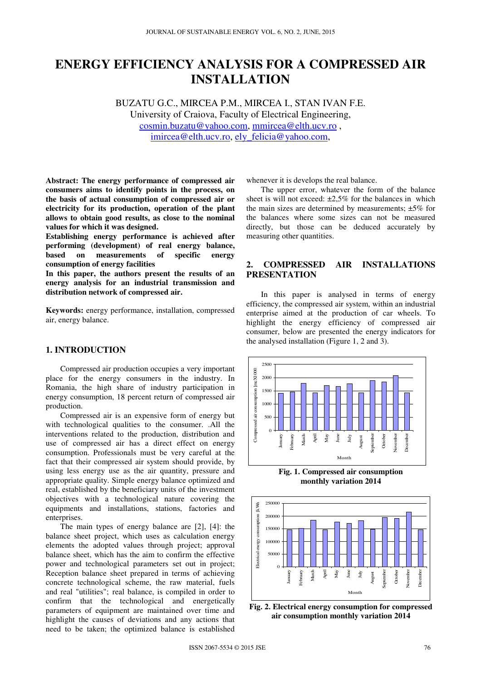# **ENERGY EFFICIENCY ANALYSIS FOR A COMPRESSED AIR INSTALLATION**

BUZATU G.C., MIRCEA P.M., MIRCEA I., STAN IVAN F.E. University of Craiova, Faculty of Electrical Engineering, cosmin.buzatu@yahoo.com, mmircea@elth.ucv.ro , imircea@elth.ucv.ro, ely\_felicia@yahoo.com,

**Abstract: The energy performance of compressed air consumers aims to identify points in the process, on the basis of actual consumption of compressed air or electricity for its production, operation of the plant allows to obtain good results, as close to the nominal values for which it was designed.** 

**Establishing energy performance is achieved after performing (development) of real energy balance, b** on measurements of specific energy **consumption of energy facilities** 

**In this paper, the authors present the results of an energy analysis for an industrial transmission and distribution network of compressed air.** 

**Keywords:** energy performance, installation, compressed air, energy balance.

# **1. INTRODUCTION**

Compressed air production occupies a very important place for the energy consumers in the industry. In Romania, the high share of industry participation in energy consumption, 18 percent return of compressed air production.

Compressed air is an expensive form of energy but with technological qualities to the consumer. .All the interventions related to the production, distribution and use of compressed air has a direct effect on energy consumption. Professionals must be very careful at the fact that their compressed air system should provide, by using less energy use as the air quantity, pressure and appropriate quality. Simple energy balance optimized and real, established by the beneficiary units of the investment objectives with a technological nature covering the equipments and installations, stations, factories and enterprises.

The main types of energy balance are [2], [4]: the balance sheet project, which uses as calculation energy elements the adopted values through project; approval balance sheet, which has the aim to confirm the effective power and technological parameters set out in project; Reception balance sheet prepared in terms of achieving concrete technological scheme, the raw material, fuels and real "utilities"; real balance, is compiled in order to confirm that the technological and energetically parameters of equipment are maintained over time and highlight the causes of deviations and any actions that need to be taken; the optimized balance is established

whenever it is develops the real balance.

The upper error, whatever the form of the balance sheet is will not exceed:  $\pm 2.5\%$  for the balances in which the main sizes are determined by measurements;  $\pm 5\%$  for the balances where some sizes can not be measured directly, but those can be deduced accurately by measuring other quantities.

# **2. COMPRESSED AIR INSTALLATIONS PRESENTATION**

In this paper is analysed in terms of energy efficiency, the compressed air system, within an industrial enterprise aimed at the production of car wheels. To highlight the energy efficiency of compressed air consumer, below are presented the energy indicators for the analysed installation (Figure 1, 2 and 3).



**Fig. 1. Compressed air consumption monthly variation 2014** 



**Fig. 2. Electrical energy consumption for compressed air consumption monthly variation 2014**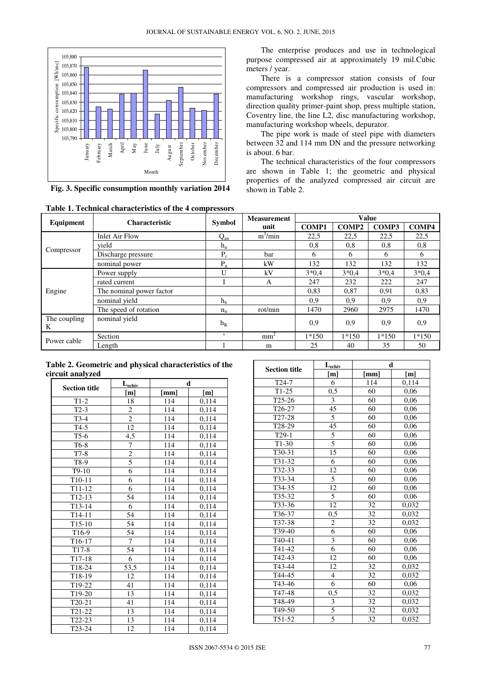

**Fig. 3. Specific consumption monthly variation 2014**

| Table 1. Technical characteristics of the 4 compressors |  |
|---------------------------------------------------------|--|
|---------------------------------------------------------|--|

The enterprise produces and use in technological purpose compressed air at approximately 19 mil.Cubic meters / year.

There is a compressor station consists of four compressors and compressed air production is used in: manufacturing workshop rings, vascular workshop, direction quality primer-paint shop, press multiple station, Coventry line, the line L2, disc manufacturing workshop, manufacturing workshop wheels, depurator.

The pipe work is made of steel pipe with diameters between 32 and 114 mm DN and the pressure networking is about. 6 bar.

The technical characteristics of the four compressors are shown in Table 1; the geometric and physical properties of the analyzed compressed air circuit are shown in Table 2.

|                   | <b>Characteristic</b>    |               | <b>Measurement</b> |              | <b>Value</b> |              |              |
|-------------------|--------------------------|---------------|--------------------|--------------|--------------|--------------|--------------|
| Equipment         |                          | <b>Symbol</b> | unit               | <b>COMP1</b> | <b>COMP2</b> | <b>COMP3</b> | <b>COMP4</b> |
|                   | <b>Inlet Air Flow</b>    | $Q_{an}$      | $m^3/m$ in         | 22,5         | 22,5         | 22,5         | 22,5         |
|                   | vield                    | $h_n$         |                    | 0,8          | 0,8          | 0,8          | 0,8          |
| Compressor        | Discharge pressure       | $P_r$         | <b>bar</b>         | 6            | 6            | 6            | 6            |
|                   | nominal power            | $P_n$         | kW                 | 132          | 132          | 132          | 132          |
|                   | Power supply             | U             | kV                 | $3*0.4$      | $3*0.4$      | $3*0.4$      | $3*0.4$      |
|                   | rated current            |               | A                  | 247          | 232          | 222          | 247          |
| Engine            | The nominal power factor |               |                    | 0,83         | 0.87         | 0.91         | 0,83         |
|                   | nominal vield            | $h_n$         |                    | 0.9          | 0,9          | 0.9          | 0,9          |
|                   | The speed of rotation    | $n_{n}$       | rot/min            | 1470         | 2960         | 2975         | 1470         |
| The coupling<br>K | nominal yield            | $h_{K}$       |                    | 0.9          | 0,9          | 0,9          | 0,9          |
|                   | Section                  | s.            | mm <sup>2</sup>    | $1*150$      | $1*150$      | $1*150$      | $1*150$      |
| Power cable       | Length                   |               | m                  | 25           | 40           | 35           | 50           |

**Table 2. Geometric and physical characteristics of the circuit analyzed** 

|                      | $L_{\text{echiv}}$ |      | d                   |
|----------------------|--------------------|------|---------------------|
| <b>Section title</b> | [m]                | [mm] | [m]                 |
| $T1-2$               | 18                 | 114  | 0,114               |
| $T2-3$               | $\overline{c}$     | 114  | 0,114               |
| $T3-4$               | $\overline{2}$     | 114  | 0,114               |
| $T4-5$               | $\overline{12}$    | 114  | 0,114               |
| $T5-6$               | 4,5                | 114  | 0,114               |
| T6-8                 | $\sqrt{ }$         | 114  | 0,114               |
| $T7-8$               |                    | 114  | 0,114               |
| T8-9                 | $\frac{2}{5}$      | 114  | 0,114               |
| $T9-10$              |                    | 114  | 0,114               |
| $T10-11$             | $\overline{6}$     | 114  | 0,114               |
| $T11-12$             | 6                  | 114  | 0,114               |
| T <sub>12</sub> -13  | 54                 | 114  | 0,114               |
| $T13-14$             | $\overline{6}$     | 114  | 0,114               |
| $T14-11$             | $\overline{54}$    | 114  | 0,114               |
| $T15-10$             | $\overline{54}$    | 114  | 0,114               |
| T16-9                | 54                 | 114  | 0,114               |
| T16-17               | 7                  | 114  | 0,114               |
| $T17-8$              | $\overline{54}$    | 114  | 0,114               |
| T17-18               | 6                  | 114  | 0,114               |
| T18-24               | 53,5               | 114  | 0,114               |
| T18-19               | 12                 | 114  | 0,114               |
| T19-22               | 41                 | 114  | 0,114               |
| T19-20               | 13                 | 114  | 0,114               |
| T20-21               | 41                 | 114  | 0,114               |
| T21-22               | 13                 | 114  | 0,114               |
| T22-23               | 13                 | 114  | 0,114               |
| T23-24               | $\overline{12}$    | 114  | $\overline{0}, 114$ |

| <b>Section title</b> | $L_{\text{echiv}}$ | d               |       |  |  |
|----------------------|--------------------|-----------------|-------|--|--|
|                      | [m]                | [mm]            | [m]   |  |  |
| $T24-7$              | 6                  | 114             | 0,114 |  |  |
| $T1-25$              | 0,5                | 60              | 0,06  |  |  |
| T <sub>25</sub> -26  | 3                  | 60              | 0,06  |  |  |
| T26-27               | 45                 | 60              | 0,06  |  |  |
| T27-28               | 5                  | 60              | 0,06  |  |  |
| T28-29               | 45                 | 60              | 0,06  |  |  |
| $T29-1$              | $\overline{5}$     | 60              | 0,06  |  |  |
| $T1-30$              | $\overline{5}$     | 60              | 0,06  |  |  |
| T30-31               | $\overline{15}$    | 60              | 0,06  |  |  |
| T31-32               | 6                  | 60              | 0,06  |  |  |
| T32-33               | 12                 | 60              | 0,06  |  |  |
| T33-34               | 5                  | 60              | 0,06  |  |  |
| T34-35               | 12                 | 60              | 0,06  |  |  |
| T35-32               | 5                  | 60              | 0,06  |  |  |
| T33-36               | $\overline{12}$    | 32              | 0,032 |  |  |
| T36-37               | $0,\!\!\sqrt{5}$   | 32              | 0,032 |  |  |
| T37-38               | $\overline{2}$     | $\overline{32}$ | 0,032 |  |  |
| T39-40               | $\overline{6}$     | 60              | 0,06  |  |  |
| T <sub>40</sub> -41  | 3                  | 60              | 0,06  |  |  |
| T41-42               | $\overline{6}$     | 60              | 0,06  |  |  |
| T42-43               | 12                 | 60              | 0,06  |  |  |
| T43-44               | 12                 | 32              | 0,032 |  |  |
| T44-45               | $\overline{4}$     | 32              | 0,032 |  |  |
| T43-46               | $\overline{6}$     | 60              | 0,06  |  |  |
| T47-48               | 0,5                | 32              | 0,032 |  |  |
| T <sub>48</sub> -49  | 3                  | 32              | 0,032 |  |  |
| T <sub>49</sub> -50  | $\overline{5}$     | 32              | 0,032 |  |  |
| $T51 - 52$           | 5                  | $\overline{32}$ | 0,032 |  |  |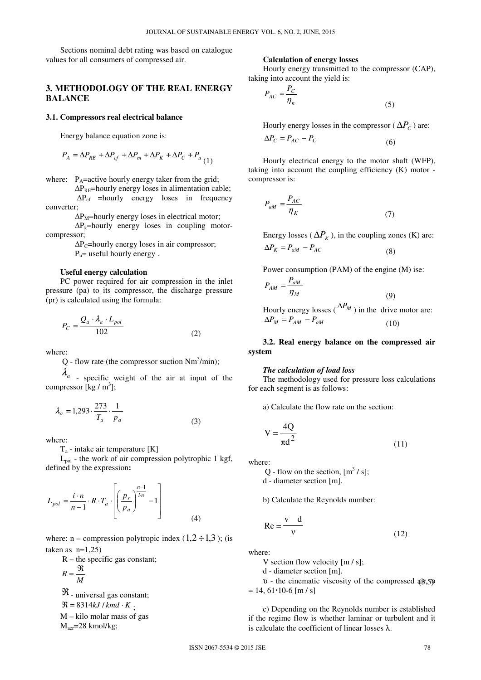Sections nominal debt rating was based on catalogue values for all consumers of compressed air.

## **3. METHODOLOGY OF THE REAL ENERGY BALANCE**

#### **3.1. Compressors real electrical balance**

Energy balance equation zone is:

$$
P_A = \Delta P_{RE} + \Delta P_{cf} + \Delta P_m + \Delta P_K + \Delta P_C + P_u
$$
 (1)

where:  $P_A$ =active hourly energy taker from the grid;

∆P<sub>RE</sub>=hourly energy loses in alimentation cable; ∆Pcf =hourly energy loses in frequency converter;

 $\Delta P_M$ =hourly energy loses in electrical motor;

 $\Delta P_k$ =hourly energy loses in coupling motorcompressor;

> $\Delta P_C$ =hourly energy loses in air compressor;  $P_{u}$ = useful hourly energy.

### **Useful energy calculation**

PC power required for air compression in the inlet pressure (pa) to its compressor, the discharge pressure (pr) is calculated using the formula:

$$
P_C = \frac{Q_a \cdot \lambda_a \cdot L_{pol}}{102} \tag{2}
$$

where:

 $Q$  - flow rate (the compressor suction Nm<sup>3</sup>/min);

 $\lambda_a$  - specific weight of the air at input of the compressor [kg / m<sup>3</sup>];

$$
\lambda_a = 1,293 \cdot \frac{273}{T_a} \cdot \frac{1}{p_a} \tag{3}
$$

where:

 $T_a$  - intake air temperature [K]

 $L_{pol}$  - the work of air compression polytrophic 1 kgf, defined by the expression**:** 

$$
L_{pol} = \frac{i \cdot n}{n-1} \cdot R \cdot T_a \cdot \left[ \left( \frac{p_r}{p_a} \right)^{\frac{n-1}{i \cdot n}} - 1 \right]
$$
 (4)

where:  $n -$  compression polytropic index  $(1,2 \div 1,3)$ ; (is taken as  $n=1,25$ 

 $R$  – the specific gas constant;

$$
R=\frac{\mathfrak{R}}{\mathfrak{R}}
$$

$$
M
$$

 $\Re$  - universal gas constant;

 $\mathfrak{R} = 8314kJ/kmd \cdot K$ .

M – kilo molar mass of gas

Maer=28 kmol/kg;

## **Calculation of energy losses**

Hourly energy transmitted to the compressor (CAP), taking into account the yield is:

$$
P_{AC} = \frac{P_C}{\eta_n} \tag{5}
$$

Hourly energy losses in the compressor ( $\Delta P_C$ ) are:

$$
\Delta P_C = P_{AC} - P_C \tag{6}
$$

Hourly electrical energy to the motor shaft (WFP), taking into account the coupling efficiency (K) motor compressor is:

$$
P_{aM} = \frac{P_{AC}}{\eta_K} \tag{7}
$$

Energy losses ( $\Delta P_K$ ), in the coupling zones (K) are:  $\Delta P_K = P_{aM} - P_{AC}$  (8)

Power consumption (PAM) of the engine (M) ise:  $\alpha_{AM} = \frac{I_{aM}}{R}$  $P_{AM} = \frac{P_a}{\eta}$ 

(9)  
Hourly energy losses (
$$
\Delta P_M
$$
) in the drive motor are:  
 $\Delta P_M = P_{AM} - P_{aM}$  (10)

**3.2. Real energy balance on the compressed air system** 

#### *The calculation of load loss*

*M*

The methodology used for pressure loss calculations for each segment is as follows:

a) Calculate the flow rate on the section:

$$
V = \frac{4Q}{\pi d^2}
$$
 (11)

where:

Q - flow on the section,  $[m^3 / s]$ ; d - diameter section [m].

b) Calculate the Reynolds number:

$$
Re = \frac{v}{v} \frac{d}{v}
$$
 (12)

where:

V section flow velocity [m / s];

d - diameter section [m].

 $v -$  the cinematic viscosity of the compressed  $(θ, 5)$  $= 14, 61 \cdot 10 - 6$  [m / s]

> c) Depending on the Reynolds number is established if the regime flow is whether laminar or turbulent and it is calculate the coefficient of linear losses λ.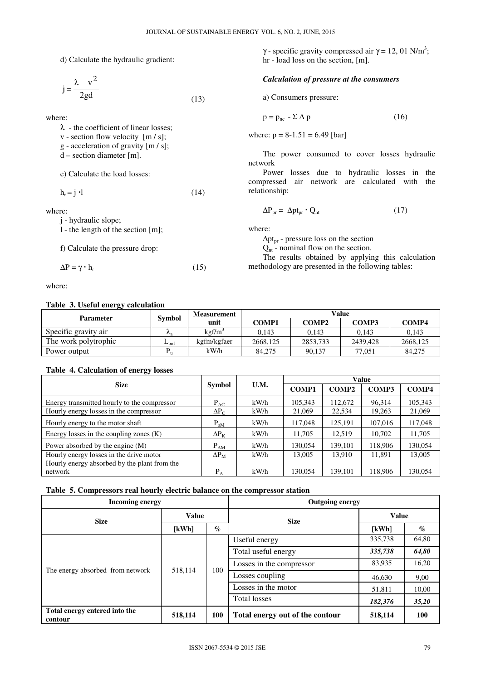d) Calculate the hydraulic gradient:

$$
j = \frac{\lambda v^2}{2gd}
$$
 (13)

where:

λ - the coefficient of linear losses;

 $v -$  section flow velocity  $[m / s]$ ;

g - acceleration of gravity [m / s];

 $d$  – section diameter [m].

e) Calculate the load losses:

 $h_r = j \cdot l$  (14)

where:

j - hydraulic slope;

l - the length of the section [m];

f) Calculate the pressure drop:

$$
\Delta P = \gamma \cdot h_r \tag{15}
$$

where:

## **Table 3. Useful energy calculation**

 $\gamma$  - specific gravity compressed air  $\gamma = 12, 01$  N/m<sup>3</sup>; hr - load loss on the section, [m].

## *Calculation of pressure at the consumers*

a) Consumers pressure:

$$
p = p_{nc} - \Sigma \Delta p \tag{16}
$$

where:  $p = 8-1.51 = 6.49$  [bar]

The power consumed to cover losses hydraulic network

Power losses due to hydraulic losses in the compressed air network are calculated with the relationship:

$$
\Delta P_{\text{pr}} = \Delta p t_{\text{pr}} \cdot Q_{\text{nt}} \tag{17}
$$

where:

 $\Delta pt_{\text{pr}}$  - pressure loss on the section

 $Q<sub>nt</sub>$  - nominal flow on the section.

The results obtained by applying this calculation methodology are presented in the following tables:

| ⊷                    |                  | Measurement           |          |                   | Value        |          |
|----------------------|------------------|-----------------------|----------|-------------------|--------------|----------|
| <b>Parameter</b>     | <b>Symbol</b>    | unit                  | COMP1    | COMP <sub>2</sub> | <b>COMP3</b> | COMP4    |
| Specific gravity air | $n_a$            | $k$ gf/m <sup>3</sup> | 0.143    | 0.143             | 0.143        | 0.143    |
| The work polytrophic | $L_{\text{pol}}$ | kgfm/kgfaer           | 2668.125 | 2853.733          | 2439.428     | 2668.125 |
| Power output         |                  | kW/h                  | 84.275   | 90.137            | 77,051       | 84,275   |

## **Table 4. Calculation of energy losses**

| $- \cdot$                                    |                    |      | Value        |              |         |              |  |
|----------------------------------------------|--------------------|------|--------------|--------------|---------|--------------|--|
| <b>Size</b>                                  | Symbol             | U.M. | <b>COMP1</b> | <b>COMP2</b> | COMP3   | <b>COMP4</b> |  |
| Energy transmitted hourly to the compressor  | $P_{AC}$           | kW/h | 105,343      | 112,672      | 96,314  | 105,343      |  |
| Hourly energy losses in the compressor       | $\Delta P_C$       | kWh  | 21,069       | 22,534       | 19,263  | 21,069       |  |
| Hourly energy to the motor shaft             | $P_{aM}$           | kW/h | 117,048      | 125.191      | 107,016 | 117,048      |  |
| Energy losses in the coupling zones $(K)$    | $\Delta P_K$       | kW/h | 11,705       | 12,519       | 10,702  | 11,705       |  |
| Power absorbed by the engine $(M)$           | $P_{AM}$           | kWh  | 130.054      | 139,101      | 118,906 | 130,054      |  |
| Hourly energy losses in the drive motor      | $\Delta P_{\rm M}$ | kW/h | 13,005       | 13.910       | 11,891  | 13,005       |  |
| Hourly energy absorbed by the plant from the |                    |      |              |              |         |              |  |
| network                                      | $P_A$              | kWh  | 130.054      | 139,101      | 118,906 | 130,054      |  |

## **Table 5. Compressors real hourly electric balance on the compressor station**

| <b>Incoming energy</b>                   |              |                 | <b>Outgoing energy</b>          |                     |                             |                          |        |       |
|------------------------------------------|--------------|-----------------|---------------------------------|---------------------|-----------------------------|--------------------------|--------|-------|
| <b>Size</b>                              | <b>Value</b> |                 | <b>Size</b>                     | <b>Value</b>        |                             |                          |        |       |
|                                          | [kWh]        | $\mathcal{O}_0$ |                                 | [kWh]               | $\mathcal{G}_{\mathcal{O}}$ |                          |        |       |
|                                          |              | 100             | Useful energy                   | 335,738             | 64,80                       |                          |        |       |
|                                          | 518,114      |                 | Total useful energy             | 335,738             | 64,80                       |                          |        |       |
|                                          |              |                 |                                 |                     |                             | Losses in the compressor | 83,935 | 16,20 |
| The energy absorbed from network         |              |                 |                                 |                     | Losses coupling             | 46,630                   | 9,00   |       |
|                                          |              |                 |                                 | Losses in the motor | 51,811                      | 10,00                    |        |       |
|                                          |              |                 | <b>Total losses</b>             | 182,376             | 35,20                       |                          |        |       |
| Total energy entered into the<br>contour | 518,114      | 100             | Total energy out of the contour | 518,114             | 100                         |                          |        |       |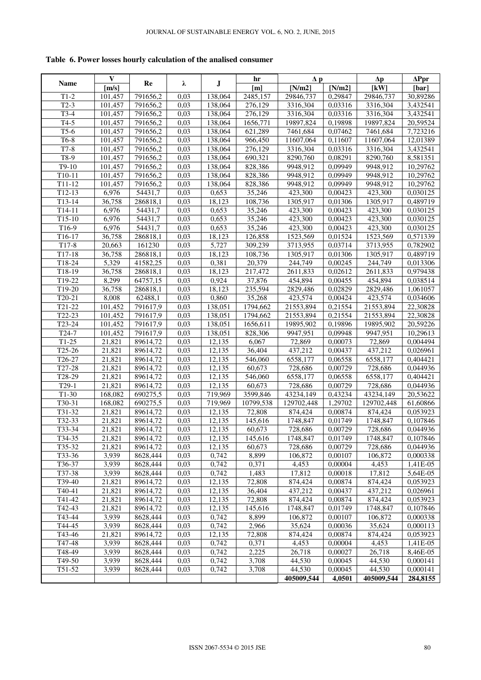**Table 6. Power losses hourly calculation of the analised consumer** 

|                      | $\mathbf{V}$         |                      |              |                     | hr                  | $\Delta p$             |                    | $\Delta p$            | $\Delta$ Ppr         |
|----------------------|----------------------|----------------------|--------------|---------------------|---------------------|------------------------|--------------------|-----------------------|----------------------|
| Name                 | [m/s]                | Re                   | λ            | $\bf J$             | [m]                 | [N/m2]                 | [N/m2]             | [kW]                  | [bar]                |
| $T1-2$               | 101,457              | 791656,2             | 0,03         | 138,064             | 2485,157            | 29846,737              | 0,29847            | 29846,737             | 30,89286             |
| $T2-3$               | 101,457              | 791656,2             | 0,03         | 138,064             | 276,129             | 3316,304               | 0,03316            | 3316,304              | 3,432541             |
| $T3-4$               | 101,457              | 791656,2             | 0,03         | 138,064             | 276,129             | 3316,304               | 0,03316            | 3316,304              | 3,432541             |
| $T4-5$               | 101,457              | 791656,2             | 0,03         | 138,064             | 1656,771            | 19897,824              | 0,19898            | 19897,824             | 20,59524             |
| $T5-6$               | 101,457              | 791656,2             | 0,03         | 138,064             | 621,289             | 7461,684               | 0,07462            | 7461,684              | 7,723216             |
| T6-8                 | 101,457              | 791656,2             | 0,03         | 138,064             | 966,450             | 11607,064              | 0,11607            | 11607,064             | 12,01389             |
| $T7-8$               | 101,457              | 791656,2             | 0,03         | 138,064             | 276,129             | 3316,304               | 0,03316            | 3316,304              | 3,432541             |
| $T8-9$               | 101,457              | 791656,2             | 0,03         | 138,064             | 690,321             | 8290,760               | 0,08291            | 8290,760              | 8,581351             |
| $T9-10$              | 101,457              | 791656,2             | 0,03         | 138,064             | 828,386             | 9948,912               | 0,09949            | 9948,912              | 10,29762             |
| $T10-11$             | 101,457              | 791656,2             | 0,03         | 138,064             | 828,386             | 9948,912               | 0,09949            | 9948,912              | 10,29762             |
| $T11-12$             | $\overline{101,457}$ | 791656,2             | 0,03         | 138,064             | 828,386             | 9948,912               | 0,09949            | 9948,912              | 10,29762             |
| $T12-13$             | 6,976                | 54431,7              | 0,03         | 0,653               | 35,246              | 423,300                | 0,00423            | 423,300               | 0,030125             |
| $T13-14$             | 36,758               | 286818,1             | 0,03         | 18,123              | 108,736             | 1305,917               | 0,01306            | 1305,917              | 0,489719             |
| $T14-11$             | 6,976                | 54431,7              | 0,03         | 0,653               | 35,246              | 423,300                | 0,00423            | 423,300               | 0,030125             |
| $T15-10$             | 6,976                | 54431,7              | 0,03         | 0,653               | 35,246              | $\overline{423,300}$   | 0,00423            | 423,300               | 0,030125             |
| T <sub>16-9</sub>    | 6,976                | 54431,7              | 0,03         | 0,653               | 35,246              | 423,300                | 0,00423            | 423,300               | 0,030125             |
| T16-17               | 36,758               | 286818,1             | 0,03         | 18,123              | 126,858             | 1523,569               | 0,01524            | 1523,569              | 0,571339             |
| $T17-8$              | 20,663               | 161230               | 0,03         | 5,727               | 309,239             | 3713,955               | 0,03714            | 3713,955              | 0,782902             |
| $T17-18$             | 36,758               | 286818,1             | 0,03         | 18,123              | 108,736             | 1305,917               | 0,01306            | 1305,917              | 0,489719             |
| T18-24               | 5,329                | 41582,25             | 0,03         | 0,381               | 20,379              | 244,749                | 0,00245            | 244,749               | 0,013306             |
| T18-19               | 36,758               | 286818,1             | 0,03         | 18,123              | 217,472             | 2611,833               | 0,02612            | 2611,833              | 0,979438             |
| T19-22               | 8,299                | 64757,15             | 0,03         | 0,924               | 37,876              | 454,894                | 0,00455            | 454,894               | 0,038514             |
| $\overline{T}$ 19-20 | 36,758               | 286818,1             | 0,03         | 18,123              | 235,594             | 2829,486               | 0,02829            | 2829,486              | 1,061057             |
| $T20-21$             | 8,008                | 62488,1              | 0,03         | 0,860               | 35,268              | 423,574                | 0,00424            | 423,574               | 0,034606             |
| $\overline{T21-22}$  | 101,452              | 791617,9             | 0,03         | 138,051             | 1794,662            | 21553,894              | 0,21554            | 21553,894             | 22,30828             |
| T22-23<br>$T23 - 24$ | 101,452              | 791617,9             | 0,03         | 138,051             | 1794,662            | 21553,894<br>19895,902 | 0,21554            | 21553,894             | 22,30828             |
| $T24-7$              | 101,452<br>101,452   | 791617,9<br>791617,9 | 0,03<br>0,03 | 138,051<br>138,051  | 1656,611<br>828,306 | 9947,951               | 0,19896<br>0,09948 | 19895,902<br>9947,951 | 20,59226<br>10,29613 |
| $T1-25$              | 21,821               | 89614,72             | 0,03         | 12,135              | 6,067               | 72,869                 | 0,00073            | 72,869                | 0,004494             |
| T <sub>25</sub> -26  | 21,821               | 89614,72             | 0,03         | 12,135              | 36,404              | 437,212                | 0,00437            | 437,212               | 0,026961             |
| T26-27               | 21,821               | 89614,72             | 0,03         | $\overline{12,135}$ | 546,060             | 6558,177               | 0,06558            | 6558,177              | 0,404421             |
| T27-28               | 21,821               | 89614,72             | 0,03         | 12,135              | 60,673              | 728,686                | 0,00729            | 728,686               | 0,044936             |
| T28-29               | 21,821               | 89614,72             | 0,03         | 12,135              | 546,060             | 6558,177               | 0,06558            | 6558,177              | 0,404421             |
| $T29-1$              | 21,821               | 89614,72             | 0,03         | 12,135              | 60,673              | 728,686                | 0,00729            | 728,686               | 0,044936             |
| $T1-30$              | 168,082              | 690275,5             | 0,03         | 719,969             | 3599,846            | 43234,149              | 0,43234            | 43234,149             | 20,53622             |
| T30-31               | 168,082              | 690275,5             | 0,03         | 719,969             | 10799,538           | 129702,448             | 1,29702            | 129702,448            | 61,60866             |
| T31-32               | 21,821               | 89614,72             | 0,03         | 12,135              | 72,808              | 874,424                | 0,00874            | 874,424               | 0,053923             |
| T32-33               | 21,821               | 89614,72             | 0,03         | 12,135              | 145,616             | 1748,847               | 0,01749            | 1748,847              | 0,107846             |
| T33-34               | 21,821               | 89614,72             | 0,03         | 12,135              | 60,673              | 728,686                | 0,00729            | 728,686               | 0,044936             |
| T34-35               | 21,821               | 89614,72             | 0,03         | 12,135              | 145,616             | 1748,847               | 0,01749            | 1748,847              | 0,107846             |
| T35-32               | 21,821               | 89614,72             | 0,03         | 12,135              | 60,673              | 728,686                | 0,00729            | 728,686               | 0,044936             |
| $\overline{T}$ 33-36 | 3,939                | 8628,444             | 0,03         | 0,742               | 8,899               | 106,872                | 0,00107            | 106,872               | 0,000338             |
| T36-37               | 3,939                | 8628,444             | 0,03         | 0,742               | 0,371               | 4,453                  | 0,00004            | 4,453                 | 1,41E-05             |
| T37-38               | 3,939                | 8628,444             | 0,03         | 0,742               | 1,483               | 17,812                 | 0,00018            | 17,812                | 5,64E-05             |
| T39-40               | 21,821               | 89614,72             | 0,03         | 12,135              | 72,808              | 874,424                | 0,00874            | 874,424               | 0,053923             |
| T40-41               | 21,821               | 89614,72             | 0,03         | 12,135              | 36,404              | 437,212                | 0,00437            | 437,212               | 0,026961             |
| T41-42               | 21,821               | 89614,72             | 0,03         | 12,135              | 72,808              | 874,424                | 0,00874            | 874,424               | 0,053923             |
| T42-43               | 21,821               | 89614,72             | 0,03         | 12,135              | 145,616             | 1748,847               | 0,01749            | 1748,847              | 0,107846             |
| T43-44               | 3,939                | 8628,444             | 0,03         | 0,742               | 8,899               | 106,872                | 0,00107            | 106,872               | 0,000338             |
| T44-45               | 3,939                | 8628,444             | 0,03         | 0,742               | 2,966               | 35,624                 | 0,00036            | 35,624                | 0,000113             |
| T43-46               | 21,821               | 89614,72             | 0,03         | 12,135              | 72,808              | 874, 424               | 0,00874            | 874,424               | 0,053923             |
| T47-48               | 3,939                | 8628,444             | 0,03         | 0,742               | 0,371               | 4,453                  | 0,00004            | 4,453                 | 1,41E-05             |
| T48-49               | 3,939                | 8628,444             | 0,03         | 0,742               | 2,225               | 26,718                 | 0,00027            | 26,718                | 8,46E-05             |
| T49-50               | 3,939                | 8628,444             | 0,03         | 0,742               | 3,708               | 44,530                 | 0,00045            | 44,530                | 0,000141             |
| T51-52               | 3,939                | 8628,444             | 0,03         | 0,742               | 3,708               | 44,530                 | 0,00045            | 44,530                | 0,000141             |
|                      |                      |                      |              |                     |                     | 405009,544             | 4,0501             | 405009,544            | 284,8155             |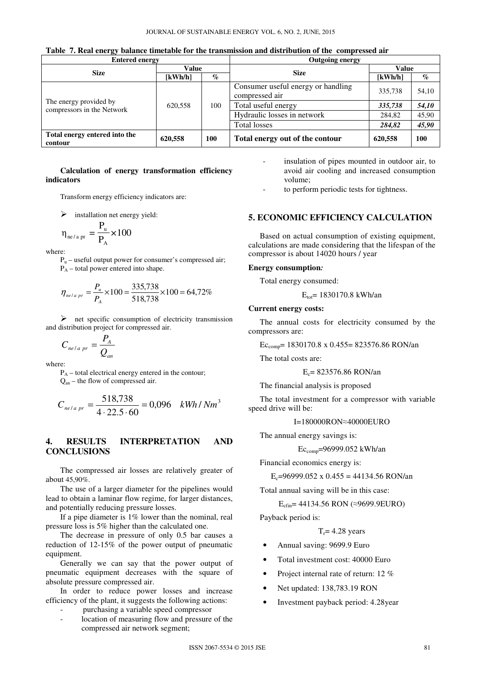|  |  |  |  |  |  |  |  |  | Table 7. Real energy balance timetable for the transmission and distribution of the compressed air |  |
|--|--|--|--|--|--|--|--|--|----------------------------------------------------------------------------------------------------|--|
|--|--|--|--|--|--|--|--|--|----------------------------------------------------------------------------------------------------|--|

| <b>Entered energy</b>                                |         |                                | <b>Outgoing energy</b>                               |                       |       |  |  |
|------------------------------------------------------|---------|--------------------------------|------------------------------------------------------|-----------------------|-------|--|--|
|                                                      | Value   |                                |                                                      | Value                 |       |  |  |
| <b>Size</b>                                          | [kWh/h] | <b>Size</b><br>$\mathcal{O}_0$ |                                                      | $\lceil kWh/h \rceil$ | $\%$  |  |  |
|                                                      |         | 100                            | Consumer useful energy or handling<br>compressed air | 335,738               | 54,10 |  |  |
| The energy provided by<br>compressors in the Network | 620,558 |                                | Total useful energy                                  | 335,738               | 54,10 |  |  |
|                                                      |         |                                | Hydraulic losses in network                          | 284,82                | 45,90 |  |  |
|                                                      |         |                                | <b>Total losses</b>                                  | 284,82                | 45,90 |  |  |
| Total energy entered into the<br>contour             | 620,558 | 100                            | Total energy out of the contour                      | 620,558               | 100   |  |  |

## **Calculation of energy transformation efficiency indicators**

Transform energy efficiency indicators are:

 $\triangleright$ installation net energy yield:

$$
\eta_{\text{ne/a pr}} = \frac{P_{\text{u}}}{P_{\text{A}}} \times 100
$$

where:

 $P_u$  – useful output power for consumer's compressed air;  $P_A$  – total power entered into shape.

$$
\eta_{\text{ne/a pr}} = \frac{P_u}{P_A} \times 100 = \frac{335,738}{518,738} \times 100 = 64,72\%
$$

- net specific consumption of electricity transmission and distribution project for compressed air.

$$
C_{\frac{ne}{a}pr} = \frac{P_A}{Q_{an}}
$$

where:

 $P_A$  – total electrical energy entered in the contour;  $Q<sub>an</sub>$  – the flow of compressed air.

$$
C_{ne/a\ pr} = \frac{518,738}{4 \cdot 22.5 \cdot 60} = 0,096 \quad kWh / Nm^3
$$

# **4. RESULTS INTERPRETATION AND CONCLUSIONS**

The compressed air losses are relatively greater of about 45,90%.

The use of a larger diameter for the pipelines would lead to obtain a laminar flow regime, for larger distances, and potentially reducing pressure losses.

If a pipe diameter is 1% lower than the nominal, real pressure loss is 5% higher than the calculated one.

The decrease in pressure of only 0.5 bar causes a reduction of 12-15% of the power output of pneumatic equipment.

Generally we can say that the power output of pneumatic equipment decreases with the square of absolute pressure compressed air.

In order to reduce power losses and increase efficiency of the plant, it suggests the following actions:

- purchasing a variable speed compressor
- location of measuring flow and pressure of the compressed air network segment;

insulation of pipes mounted in outdoor air, to avoid air cooling and increased consumption volume;

to perform periodic tests for tightness.

# **5. ECONOMIC EFFICIENCY CALCULATION**

Based on actual consumption of existing equipment, calculations are made considering that the lifespan of the compressor is about 14020 hours / year

#### **Energy consumption***:*

Total energy consumed:

 $E_{tot}$ = 1830170.8 kWh/an

#### **Current energy costs:**

The annual costs for electricity consumed by the compressors are:

 $Ec_{comp} = 1830170.8 \times 0.455 = 823576.86 \text{ RON}/an$ 

The total costs are:

$$
E_c = 823576.86
$$
 RON/an

The financial analysis is proposed

The total investment for a compressor with variable speed drive will be:

I=180000RON≈40000EURO

The annual energy savings is:

 $Ec_{comp} = 96999.052$  kWh/an

Financial economics energy is:

$$
E_c
$$
=96999.052 x 0.455 = 44134.56 RON'an

Total annual saving will be in this case:

$$
E_{\text{cfin}} = 44134.56 \text{ RON} (\approx 9699.9 \text{EURO})
$$

Payback period is:

 $T_r = 4.28$  years

- Annual saving: 9699.9 Euro
- Total investment cost: 40000 Euro
- Project internal rate of return: 12 %
- Net updated: 138,783.19 RON
- Investment payback period: 4.28year